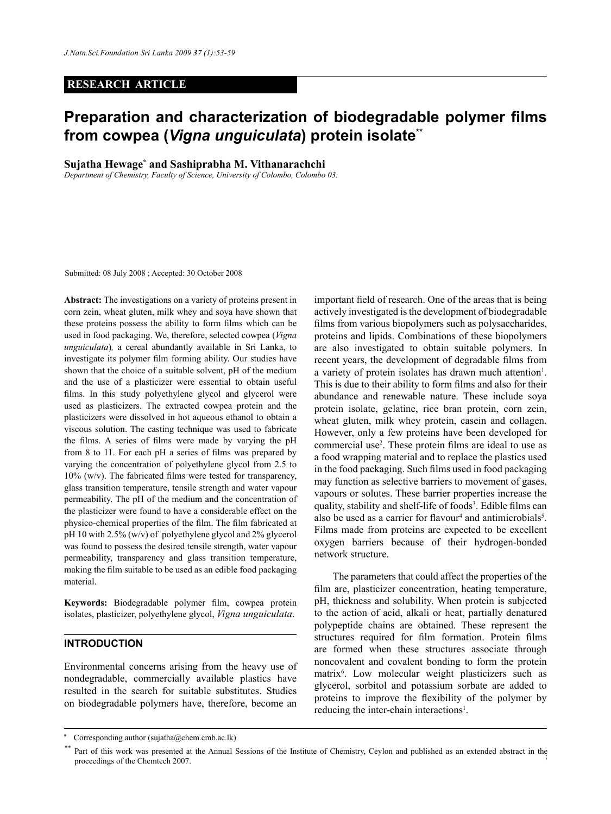## **RESEARCH ARTICLE**

# **Preparation and characterization of biodegradable polymer films from cowpea (***Vigna unguiculata***) protein isolate\*\***

**Sujatha Hewage\* and Sashiprabha M. Vithanarachchi**

*Department of Chemistry, Faculty of Science, University of Colombo, Colombo 03.*

Submitted: 08 July 2008 ; Accepted: 30 October 2008

**Abstract:** The investigations on a variety of proteins present in corn zein, wheat gluten, milk whey and soya have shown that these proteins possess the ability to form films which can be used in food packaging. We, therefore, selected cowpea (*Vigna unguiculata*)*,* a cereal abundantly available in Sri Lanka, to investigate its polymer film forming ability. Our studies have shown that the choice of a suitable solvent, pH of the medium and the use of a plasticizer were essential to obtain useful films. In this study polyethylene glycol and glycerol were used as plasticizers. The extracted cowpea protein and the plasticizers were dissolved in hot aqueous ethanol to obtain a viscous solution. The casting technique was used to fabricate the films. A series of films were made by varying the pH from 8 to 11. For each pH a series of films was prepared by varying the concentration of polyethylene glycol from 2.5 to  $10\%$  (w/v). The fabricated films were tested for transparency, glass transition temperature, tensile strength and water vapour permeability. The pH of the medium and the concentration of the plasticizer were found to have a considerable effect on the physico-chemical properties of the film. The film fabricated at pH 10 with 2.5% (w/v) of polyethylene glycol and 2% glycerol was found to possess the desired tensile strength, water vapour permeability, transparency and glass transition temperature, making the film suitable to be used as an edible food packaging material.

**Keywords:** Biodegradable polymer film, cowpea protein isolates, plasticizer, polyethylene glycol, *Vigna unguiculata*.

# **INTRODUCTION**

Environmental concerns arising from the heavy use of nondegradable, commercially available plastics have resulted in the search for suitable substitutes. Studies on biodegradable polymers have, therefore, become an important field of research. One of the areas that is being actively investigated is the development of biodegradable films from various biopolymers such as polysaccharides, proteins and lipids. Combinations of these biopolymers are also investigated to obtain suitable polymers. In recent years, the development of degradable films from a variety of protein isolates has drawn much attention<sup>1</sup>. This is due to their ability to form films and also for their abundance and renewable nature. These include soya protein isolate, gelatine, rice bran protein, corn zein, wheat gluten, milk whey protein, casein and collagen. However, only a few proteins have been developed for commercial use2 . These protein films are ideal to use as a food wrapping material and to replace the plastics used in the food packaging. Such films used in food packaging may function as selective barriers to movement of gases, vapours or solutes. These barrier properties increase the quality, stability and shelf-life of foods<sup>3</sup>. Edible films can also be used as a carrier for flavour<sup>4</sup> and antimicrobials<sup>5</sup>. Films made from proteins are expected to be excellent oxygen barriers because of their hydrogen-bonded network structure.

The parameters that could affect the properties of the film are, plasticizer concentration, heating temperature, pH, thickness and solubility. When protein is subjected to the action of acid, alkali or heat, partially denatured polypeptide chains are obtained. These represent the structures required for film formation. Protein films are formed when these structures associate through noncovalent and covalent bonding to form the protein matrix6 . Low molecular weight plasticizers such as glycerol, sorbitol and potassium sorbate are added to proteins to improve the flexibility of the polymer by reducing the inter-chain interactions<sup>1</sup>.

Corresponding author (sujatha@chem.cmb.ac.lk)

*Journal of the National Science Foundation of Sri Lanka 37 (1) March 2009* proceedings of the Chemtech 2007.Part of this work was presented at the Annual Sessions of the Institute of Chemistry, Ceylon and published as an extended abstract in the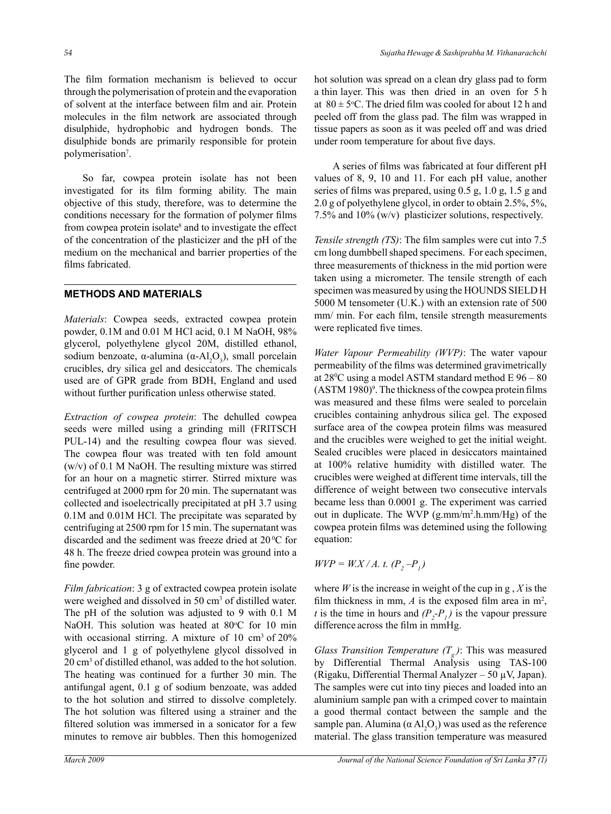The film formation mechanism is believed to occur through the polymerisation of protein and the evaporation of solvent at the interface between film and air. Protein molecules in the film network are associated through disulphide, hydrophobic and hydrogen bonds. The disulphide bonds are primarily responsible for protein polymerisation<sup>7</sup>.

So far, cowpea protein isolate has not been investigated for its film forming ability. The main objective of this study, therefore, was to determine the conditions necessary for the formation of polymer films from cowpea protein isolate<sup>8</sup> and to investigate the effect of the concentration of the plasticizer and the pH of the medium on the mechanical and barrier properties of the films fabricated.

## **METHODS AND MATERIALS**

*Materials*: Cowpea seeds, extracted cowpea protein powder, 0.1M and 0.01 M HCl acid, 0.1 M NaOH, 98% glycerol, polyethylene glycol 20M, distilled ethanol, sodium benzoate,  $\alpha$ -alumina ( $\alpha$ -Al<sub>2</sub>O<sub>3</sub>), small porcelain crucibles, dry silica gel and desiccators. The chemicals used are of GPR grade from BDH, England and used without further purification unless otherwise stated.

*Extraction of cowpea protein*: The dehulled cowpea seeds were milled using a grinding mill (FRITSCH PUL-14) and the resulting cowpea flour was sieved. The cowpea flour was treated with ten fold amount (w/v) of 0.1 M NaOH. The resulting mixture was stirred for an hour on a magnetic stirrer. Stirred mixture was centrifuged at 2000 rpm for 20 min. The supernatant was collected and isoelectrically precipitated at pH 3.7 using 0.1M and 0.01M HCl. The precipitate was separated by centrifuging at 2500 rpm for 15 min. The supernatant was discarded and the sediment was freeze dried at  $20\,^{\circ}\text{C}$  for 48 h. The freeze dried cowpea protein was ground into a fine powder.

*Film fabrication*: 3 g of extracted cowpea protein isolate were weighed and dissolved in 50 cm<sup>3</sup> of distilled water. The pH of the solution was adjusted to 9 with 0.1 M NaOH. This solution was heated at 80°C for 10 min with occasional stirring. A mixture of 10 cm<sup>3</sup> of 20% glycerol and 1 g of polyethylene glycol dissolved in 20 cm3 of distilled ethanol, was added to the hot solution. The heating was continued for a further 30 min. The antifungal agent, 0.1 g of sodium benzoate, was added to the hot solution and stirred to dissolve completely. The hot solution was filtered using a strainer and the filtered solution was immersed in a sonicator for a few minutes to remove air bubbles. Then this homogenized

hot solution was spread on a clean dry glass pad to form a thin layer. This was then dried in an oven for 5 h at  $80 \pm 5$ °C. The dried film was cooled for about 12 h and peeled off from the glass pad. The film was wrapped in tissue papers as soon as it was peeled off and was dried under room temperature for about five days.

A series of films was fabricated at four different pH values of 8, 9, 10 and 11. For each pH value, another series of films was prepared, using 0.5 g, 1.0 g, 1.5 g and 2.0 g of polyethylene glycol, in order to obtain 2.5%, 5%, 7.5% and 10% (w/v) plasticizer solutions, respectively.

*Tensile strength (TS)*: The film samples were cut into 7.5 cm long dumbbell shaped specimens. For each specimen, three measurements of thickness in the mid portion were taken using a micrometer. The tensile strength of each specimen was measured by using the HOUNDS SIELD H 5000 M tensometer (U.K.) with an extension rate of 500 mm/ min. For each film, tensile strength measurements were replicated five times.

*Water Vapour Permeability (WVP)*: The water vapour permeability of the films was determined gravimetrically at 280 C using a model ASTM standard method E 96 – 80  $(ASTM 1980)$ <sup>o</sup>. The thickness of the cowpea protein films was measured and these films were sealed to porcelain crucibles containing anhydrous silica gel. The exposed surface area of the cowpea protein films was measured and the crucibles were weighed to get the initial weight. Sealed crucibles were placed in desiccators maintained at 100% relative humidity with distilled water. The crucibles were weighed at different time intervals, till the difference of weight between two consecutive intervals became less than 0.0001 g. The experiment was carried out in duplicate. The WVP (g.mm/m2 .h.mm/Hg) of the cowpea protein films was detemined using the following equation:

 $WVP = W.X/A.$  t.  $(P_2-P_1)$ 

where  $W$  is the increase in weight of the cup in g,  $X$  is the film thickness in mm,  $A$  is the exposed film area in  $m^2$ , *t* is the time in hours and  $(P_2 - P_1)$  is the vapour pressure difference across the film in mmHg.

*Glass Transition Temperature*  $(T_{\varphi})$ : This was measured by Differential Thermal Analysis using TAS-100 (Rigaku, Differential Thermal Analyzer – 50 µV, Japan). The samples were cut into tiny pieces and loaded into an aluminium sample pan with a crimped cover to maintain a good thermal contact between the sample and the sample pan. Alumina ( $\alpha$  Al<sub>2</sub>O<sub>3</sub>) was used as the reference material. The glass transition temperature was measured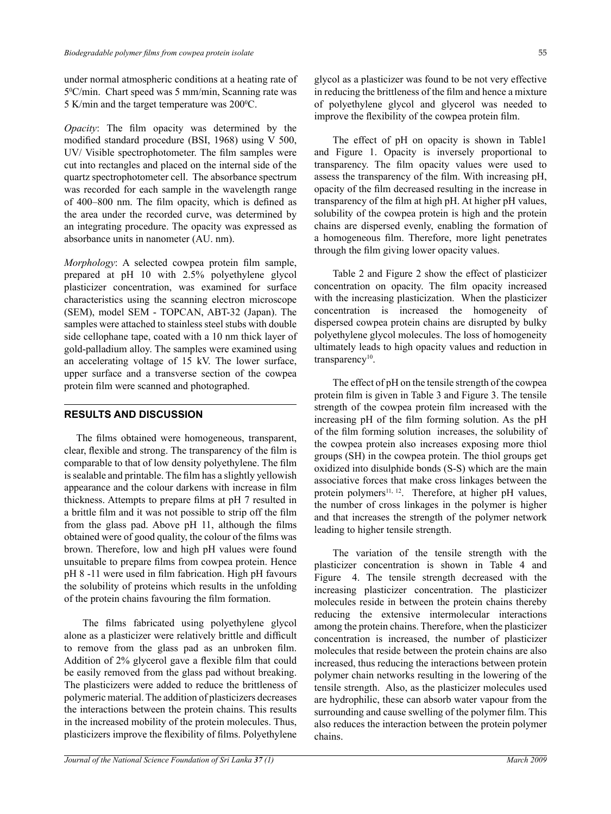under normal atmospheric conditions at a heating rate of 50 C/min. Chart speed was 5 mm/min, Scanning rate was 5 K/min and the target temperature was  $200^{\circ}$ C.

*Opacity*: The film opacity was determined by the modified standard procedure (BSI, 1968) using V 500, UV/ Visible spectrophotometer. The film samples were cut into rectangles and placed on the internal side of the quartz spectrophotometer cell. The absorbance spectrum was recorded for each sample in the wavelength range of 400–800 nm. The film opacity, which is defined as the area under the recorded curve, was determined by an integrating procedure. The opacity was expressed as absorbance units in nanometer (AU. nm).

*Morphology*: A selected cowpea protein film sample, prepared at pH 10 with 2.5% polyethylene glycol plasticizer concentration, was examined for surface characteristics using the scanning electron microscope (SEM), model SEM - TOPCAN, ABT-32 (Japan). The samples were attached to stainless steel stubs with double side cellophane tape, coated with a 10 nm thick layer of gold-palladium alloy. The samples were examined using an accelerating voltage of 15 kV. The lower surface, upper surface and a transverse section of the cowpea protein film were scanned and photographed.

#### **RESULTS AND DISCUSSION**

 The films obtained were homogeneous, transparent, clear, flexible and strong. The transparency of the film is comparable to that of low density polyethylene. The film is sealable and printable. The film has a slightly yellowish appearance and the colour darkens with increase in film thickness. Attempts to prepare films at pH 7 resulted in a brittle film and it was not possible to strip off the film from the glass pad. Above pH 11, although the films obtained were of good quality, the colour of the films was brown. Therefore, low and high pH values were found unsuitable to prepare films from cowpea protein. Hence pH 8 -11 were used in film fabrication. High pH favours the solubility of proteins which results in the unfolding of the protein chains favouring the film formation.

The films fabricated using polyethylene glycol alone as a plasticizer were relatively brittle and difficult to remove from the glass pad as an unbroken film. Addition of 2% glycerol gave a flexible film that could be easily removed from the glass pad without breaking. The plasticizers were added to reduce the brittleness of polymeric material. The addition of plasticizers decreases the interactions between the protein chains. This results in the increased mobility of the protein molecules. Thus, plasticizers improve the flexibility of films. Polyethylene glycol as a plasticizer was found to be not very effective in reducing the brittleness of the film and hence a mixture of polyethylene glycol and glycerol was needed to improve the flexibility of the cowpea protein film.

The effect of pH on opacity is shown in Table1 and Figure 1. Opacity is inversely proportional to transparency. The film opacity values were used to assess the transparency of the film. With increasing pH, opacity of the film decreased resulting in the increase in transparency of the film at high pH. At higher pH values, solubility of the cowpea protein is high and the protein chains are dispersed evenly, enabling the formation of a homogeneous film. Therefore, more light penetrates through the film giving lower opacity values.

Table 2 and Figure 2 show the effect of plasticizer concentration on opacity. The film opacity increased with the increasing plasticization. When the plasticizer concentration is increased the homogeneity of dispersed cowpea protein chains are disrupted by bulky polyethylene glycol molecules. The loss of homogeneity ultimately leads to high opacity values and reduction in transparency<sup>10</sup>.

The effect of pH on the tensile strength of the cowpea protein film is given in Table 3 and Figure 3. The tensile strength of the cowpea protein film increased with the increasing pH of the film forming solution. As the pH of the film forming solution increases, the solubility of the cowpea protein also increases exposing more thiol groups (SH) in the cowpea protein. The thiol groups get oxidized into disulphide bonds (S-S) which are the main associative forces that make cross linkages between the protein polymers $11, 12$ . Therefore, at higher pH values, the number of cross linkages in the polymer is higher and that increases the strength of the polymer network leading to higher tensile strength.

The variation of the tensile strength with the plasticizer concentration is shown in Table 4 and Figure 4. The tensile strength decreased with the increasing plasticizer concentration. The plasticizer molecules reside in between the protein chains thereby reducing the extensive intermolecular interactions among the protein chains. Therefore, when the plasticizer concentration is increased, the number of plasticizer molecules that reside between the protein chains are also increased, thus reducing the interactions between protein polymer chain networks resulting in the lowering of the tensile strength. Also, as the plasticizer molecules used are hydrophilic, these can absorb water vapour from the surrounding and cause swelling of the polymer film. This also reduces the interaction between the protein polymer chains.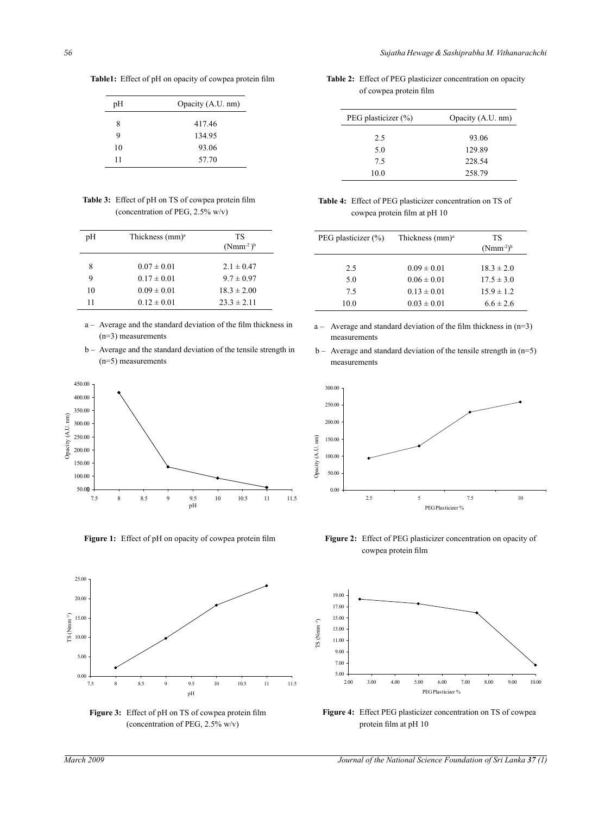**Table1:** Effect of pH on opacity of cowpea protein film

| pH | Opacity (A.U. nm) |
|----|-------------------|
| 8  | 417.46            |
| 9  | 134.95            |
| 10 | 93.06             |
| 11 | 57.70             |

 **Table 3:** Effect of pH on TS of cowpea protein film (concentration of PEG, 2.5% w/v)

| pH | Thickness $(mm)a$ | TS<br>$(Nmm^{-2})^b$ |
|----|-------------------|----------------------|
| 8  | $0.07 \pm 0.01$   | $2.1 \pm 0.47$       |
| 9  | $0.17 \pm 0.01$   | $9.7 \pm 0.97$       |
| 10 | $0.09 \pm 0.01$   | $18.3 \pm 2.00$      |
| 11 | $0.12 \pm 0.01$   | $23.3 \pm 2.11$      |

- a Average and the standard deviation of the film thickness in (n=3) measurements
- b Average and the standard deviation of the tensile strength in (n=5) measurements



**Figure 1:** Effect of pH on opacity of cowpea protein film





**Table 2:** Effect of PEG plasticizer concentration on opacity of cowpea protein film

| PEG plasticizer (%) | Opacity (A.U. nm) |
|---------------------|-------------------|
| 2.5                 | 93.06             |
| 5.0                 | 129.89            |
| 7.5                 | 228.54            |
| 10.0                | 258.79            |

 **Table 4:** Effect of PEG plasticizer concentration on TS of cowpea protein film at pH 10

| PEG plasticizer $(\%)$ | Thickness $(mm)a$ | ТS<br>$(Nmm^{-2})^b$ |
|------------------------|-------------------|----------------------|
| 2.5                    | $0.09 \pm 0.01$   | $18.3 \pm 2.0$       |
| 5.0                    | $0.06 \pm 0.01$   | $17.5 \pm 3.0$       |
| 75                     | $0.13 \pm 0.01$   | $15.9 \pm 1.2$       |
| 10.0                   | $0.03 \pm 0.01$   | $6.6 \pm 2.6$        |

- $a -$  Average and standard deviation of the film thickness in  $(n=3)$ measurements
- $b -$  Average and standard deviation of the tensile strength in  $(n=5)$ measurements



Figure 2: Effect of PEG plasticizer concentration on opacity of cowpea protein film



**Figure 4:** Effect PEG plasticizer concentration on TS of cowpea protein film at pH 10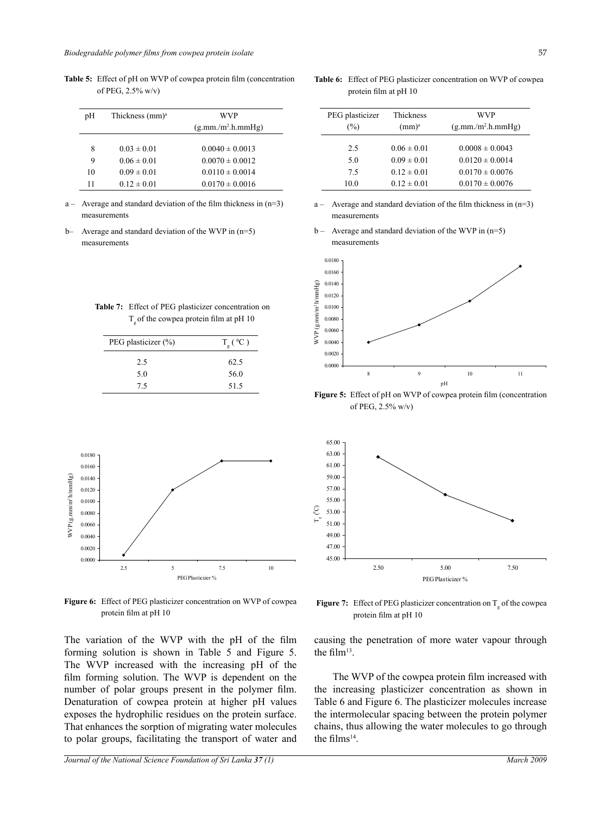| pH | Thickness $(mm)a$ | WVP                  |
|----|-------------------|----------------------|
|    |                   | $(g.mm./m^2.h.mmHg)$ |
|    |                   |                      |
| 8  | $0.03 \pm 0.01$   | $0.0040 \pm 0.0013$  |
| 9  | $0.06 \pm 0.01$   | $0.0070 \pm 0.0012$  |
| 10 | $0.09 \pm 0.01$   | $0.0110 \pm 0.0014$  |
| 11 | $0.12 \pm 0.01$   | $0.0170 \pm 0.0016$  |

**Table 5:** Effect of pH on WVP of cowpea protein film (concentration of PEG, 2.5% w/v)

 $a -$  Average and standard deviation of the film thickness in (n=3) measurements

b– Average and standard deviation of the WVP in (n=5) measurements

| <b>Table 7:</b> Effect of PEG plasticizer concentration on |
|------------------------------------------------------------|
| $T_{\text{I}}$ of the cowpea protein film at pH 10         |

| PEG plasticizer (%) | $T_g({}^0C)$ |
|---------------------|--------------|
| 2.5                 | 62.5         |
| 5.0                 | 56.0         |
| 75                  | 51.5         |



**Figure 6:** Effect of PEG plasticizer concentration on WVP of cowpea protein film at pH 10

The variation of the WVP with the pH of the film forming solution is shown in Table 5 and Figure 5. The WVP increased with the increasing pH of the film forming solution. The WVP is dependent on the number of polar groups present in the polymer film. Denaturation of cowpea protein at higher pH values exposes the hydrophilic residues on the protein surface. That enhances the sorption of migrating water molecules to polar groups, facilitating the transport of water and

#### *Journal of the National Science Foundation of Sri Lanka 37 (1) March 2009*

 $b -$  Average and standard deviation of the WVP in (n=5)

a – Average and standard deviation of the film thickness in (n=3)

**Table 6:** Effect of PEG plasticizer concentration on WVP of cowpea

 $(\%)$  (mm)<sup>a</sup> (g.mm./m<sup>2</sup>.h.mmHg)

2.5  $0.06 \pm 0.01$   $0.0008 \pm 0.0043$ 5.0  $0.09 \pm 0.01$   $0.0120 \pm 0.0014$ 7.5  $0.12 \pm 0.01$   $0.0170 \pm 0.0076$ 10.0  $0.12 \pm 0.01$   $0.0170 \pm 0.0076$ 

PEG plasticizer Thickness WVP

protein film at pH 10

measurements

measurements



**Figure 5:** Effect of pH on WVP of cowpea protein film (concentration of PEG, 2.5% w/v)



**Figure 7:** Effect of PEG plasticizer concentration on  $T_g$  of the cowpea protein film at pH 10

causing the penetration of more water vapour through the film13.

The WVP of the cowpea protein film increased with the increasing plasticizer concentration as shown in Table 6 and Figure 6. The plasticizer molecules increase the intermolecular spacing between the protein polymer chains, thus allowing the water molecules to go through the films<sup>14</sup>.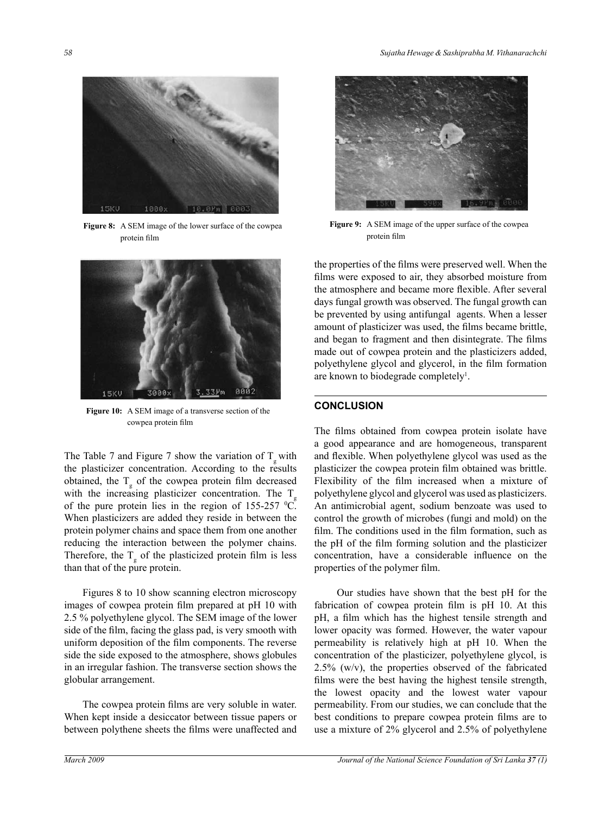

**Figure 8:** A SEM image of the lower surface of the cowpea protein film



**Figure 10:** A SEM image of a transverse section of the cowpea protein film

The Table 7 and Figure 7 show the variation of  $T_{g}$  with the plasticizer concentration. According to the results obtained, the  $T_g$  of the cowpea protein film decreased with the increasing plasticizer concentration. The  $T<sub>g</sub>$ of the pure protein lies in the region of  $155-257$  °C. When plasticizers are added they reside in between the protein polymer chains and space them from one another reducing the interaction between the polymer chains. Therefore, the  $T_{\rm g}$  of the plasticized protein film is less than that of the pure protein.

Figures 8 to 10 show scanning electron microscopy images of cowpea protein film prepared at pH 10 with 2.5 % polyethylene glycol. The SEM image of the lower side of the film, facing the glass pad, is very smooth with uniform deposition of the film components. The reverse side the side exposed to the atmosphere, shows globules in an irregular fashion. The transverse section shows the globular arrangement.

The cowpea protein films are very soluble in water. When kept inside a desiccator between tissue papers or between polythene sheets the films were unaffected and



**Figure 9:** A SEM image of the upper surface of the cowpea protein film

days fungal growth was observed. The fungal growth can the properties of the films were preserved well. When the films were exposed to air, they absorbed moisture from the atmosphere and became more flexible. After several be prevented by using antifungal agents. When a lesser amount of plasticizer was used, the films became brittle, and began to fragment and then disintegrate. The films made out of cowpea protein and the plasticizers added, polyethylene glycol and glycerol, in the film formation are known to biodegrade completely<sup>1</sup>.

## **CONCLUSION**

The films obtained from cowpea protein isolate have a good appearance and are homogeneous, transparent and flexible. When polyethylene glycol was used as the plasticizer the cowpea protein film obtained was brittle. Flexibility of the film increased when a mixture of polyethylene glycol and glycerol was used as plasticizers. An antimicrobial agent, sodium benzoate was used to control the growth of microbes (fungi and mold) on the film. The conditions used in the film formation, such as the pH of the film forming solution and the plasticizer concentration, have a considerable influence on the properties of the polymer film.

 Our studies have shown that the best pH for the fabrication of cowpea protein film is pH 10. At this pH, a film which has the highest tensile strength and lower opacity was formed. However, the water vapour permeability is relatively high at pH 10. When the concentration of the plasticizer, polyethylene glycol, is  $2.5\%$  (w/v), the properties observed of the fabricated films were the best having the highest tensile strength, the lowest opacity and the lowest water vapour permeability. From our studies, we can conclude that the best conditions to prepare cowpea protein films are to use a mixture of 2% glycerol and 2.5% of polyethylene